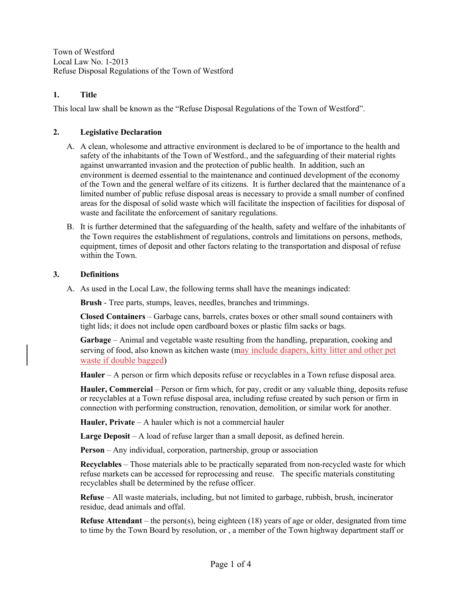Town of Westford Local Law No. 1-2013 Refuse Disposal Regulations of the Town of Westford

## **1. Title**

This local law shall be known as the "Refuse Disposal Regulations of the Town of Westford".

### **2. Legislative Declaration**

- A. A clean, wholesome and attractive environment is declared to be of importance to the health and safety of the inhabitants of the Town of Westford., and the safeguarding of their material rights against unwarranted invasion and the protection of public health. In addition, such an environment is deemed essential to the maintenance and continued development of the economy of the Town and the general welfare of its citizens. It is further declared that the maintenance of a limited number of public refuse disposal areas is necessary to provide a small number of confined areas for the disposal of solid waste which will facilitate the inspection of facilities for disposal of waste and facilitate the enforcement of sanitary regulations.
- B. It is further determined that the safeguarding of the health, safety and welfare of the inhabitants of the Town requires the establishment of regulations, controls and limitations on persons, methods, equipment, times of deposit and other factors relating to the transportation and disposal of refuse within the Town.

### **3. Definitions**

A. As used in the Local Law, the following terms shall have the meanings indicated:

**Brush** - Tree parts, stumps, leaves, needles, branches and trimmings.

**Closed Containers** – Garbage cans, barrels, crates boxes or other small sound containers with tight lids; it does not include open cardboard boxes or plastic film sacks or bags.

**Garbage** – Animal and vegetable waste resulting from the handling, preparation, cooking and serving of food, also known as kitchen waste (may include diapers, kitty litter and other pet waste if double bagged)

**Hauler** – A person or firm which deposits refuse or recyclables in a Town refuse disposal area.

**Hauler, Commercial** – Person or firm which, for pay, credit or any valuable thing, deposits refuse or recyclables at a Town refuse disposal area, including refuse created by such person or firm in connection with performing construction, renovation, demolition, or similar work for another.

**Hauler, Private** – A hauler which is not a commercial hauler

Large Deposit – A load of refuse larger than a small deposit, as defined herein.

**Person** – Any individual, corporation, partnership, group or association

**Recyclables** – Those materials able to be practically separated from non-recycled waste for which refuse markets can be accessed for reprocessing and reuse. The specific materials constituting recyclables shall be determined by the refuse officer.

**Refuse** – All waste materials, including, but not limited to garbage, rubbish, brush, incinerator residue, dead animals and offal.

**Refuse Attendant** – the person(s), being eighteen (18) years of age or older, designated from time to time by the Town Board by resolution, or , a member of the Town highway department staff or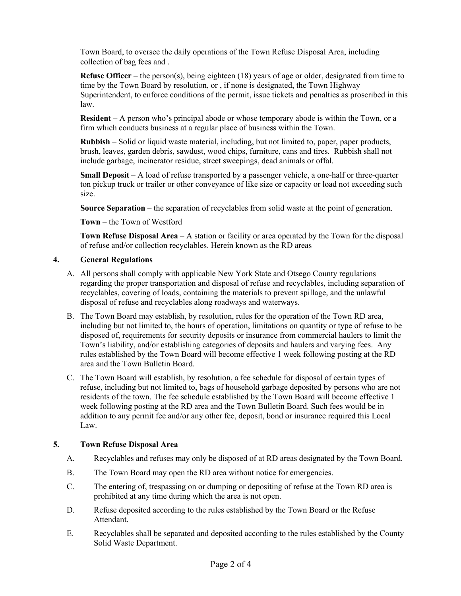Town Board, to oversee the daily operations of the Town Refuse Disposal Area, including collection of bag fees and .

**Refuse Officer** – the person(s), being eighteen (18) years of age or older, designated from time to time by the Town Board by resolution, or , if none is designated, the Town Highway Superintendent, to enforce conditions of the permit, issue tickets and penalties as proscribed in this law.

**Resident** – A person who's principal abode or whose temporary abode is within the Town, or a firm which conducts business at a regular place of business within the Town.

**Rubbish** – Solid or liquid waste material, including, but not limited to, paper, paper products, brush, leaves, garden debris, sawdust, wood chips, furniture, cans and tires. Rubbish shall not include garbage, incinerator residue, street sweepings, dead animals or offal.

**Small Deposit** – A load of refuse transported by a passenger vehicle, a one-half or three-quarter ton pickup truck or trailer or other conveyance of like size or capacity or load not exceeding such size.

**Source Separation** – the separation of recyclables from solid waste at the point of generation.

**Town** – the Town of Westford

**Town Refuse Disposal Area** – A station or facility or area operated by the Town for the disposal of refuse and/or collection recyclables. Herein known as the RD areas

### **4. General Regulations**

- A. All persons shall comply with applicable New York State and Otsego County regulations regarding the proper transportation and disposal of refuse and recyclables, including separation of recyclables, covering of loads, containing the materials to prevent spillage, and the unlawful disposal of refuse and recyclables along roadways and waterways.
- B. The Town Board may establish, by resolution, rules for the operation of the Town RD area, including but not limited to, the hours of operation, limitations on quantity or type of refuse to be disposed of, requirements for security deposits or insurance from commercial haulers to limit the Town's liability, and/or establishing categories of deposits and haulers and varying fees. Any rules established by the Town Board will become effective 1 week following posting at the RD area and the Town Bulletin Board.
- C. The Town Board will establish, by resolution, a fee schedule for disposal of certain types of refuse, including but not limited to, bags of household garbage deposited by persons who are not residents of the town. The fee schedule established by the Town Board will become effective 1 week following posting at the RD area and the Town Bulletin Board. Such fees would be in addition to any permit fee and/or any other fee, deposit, bond or insurance required this Local Law.

## **5. Town Refuse Disposal Area**

- A. Recyclables and refuses may only be disposed of at RD areas designated by the Town Board.
- B. The Town Board may open the RD area without notice for emergencies.
- C. The entering of, trespassing on or dumping or depositing of refuse at the Town RD area is prohibited at any time during which the area is not open.
- D. Refuse deposited according to the rules established by the Town Board or the Refuse Attendant.
- E. Recyclables shall be separated and deposited according to the rules established by the County Solid Waste Department.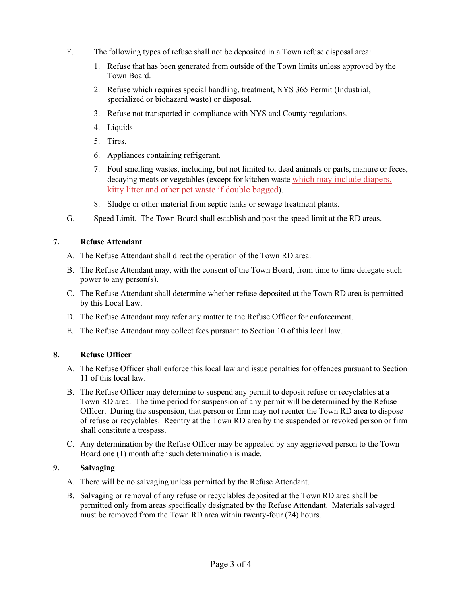- F. The following types of refuse shall not be deposited in a Town refuse disposal area:
	- 1. Refuse that has been generated from outside of the Town limits unless approved by the Town Board.
	- 2. Refuse which requires special handling, treatment, NYS 365 Permit (Industrial, specialized or biohazard waste) or disposal.
	- 3. Refuse not transported in compliance with NYS and County regulations.
	- 4. Liquids
	- 5. Tires.
	- 6. Appliances containing refrigerant.
	- 7. Foul smelling wastes, including, but not limited to, dead animals or parts, manure or feces, decaying meats or vegetables (except for kitchen waste which may include diapers, kitty litter and other pet waste if double bagged).
	- 8. Sludge or other material from septic tanks or sewage treatment plants.
- G. Speed Limit. The Town Board shall establish and post the speed limit at the RD areas.

## **7. Refuse Attendant**

- A. The Refuse Attendant shall direct the operation of the Town RD area.
- B. The Refuse Attendant may, with the consent of the Town Board, from time to time delegate such power to any person(s).
- C. The Refuse Attendant shall determine whether refuse deposited at the Town RD area is permitted by this Local Law.
- D. The Refuse Attendant may refer any matter to the Refuse Officer for enforcement.
- E. The Refuse Attendant may collect fees pursuant to Section 10 of this local law.

# **8. Refuse Officer**

- A. The Refuse Officer shall enforce this local law and issue penalties for offences pursuant to Section 11 of this local law.
- B. The Refuse Officer may determine to suspend any permit to deposit refuse or recyclables at a Town RD area. The time period for suspension of any permit will be determined by the Refuse Officer. During the suspension, that person or firm may not reenter the Town RD area to dispose of refuse or recyclables. Reentry at the Town RD area by the suspended or revoked person or firm shall constitute a trespass.
- C. Any determination by the Refuse Officer may be appealed by any aggrieved person to the Town Board one (1) month after such determination is made.

# **9. Salvaging**

- A. There will be no salvaging unless permitted by the Refuse Attendant.
- B. Salvaging or removal of any refuse or recyclables deposited at the Town RD area shall be permitted only from areas specifically designated by the Refuse Attendant. Materials salvaged must be removed from the Town RD area within twenty-four (24) hours.